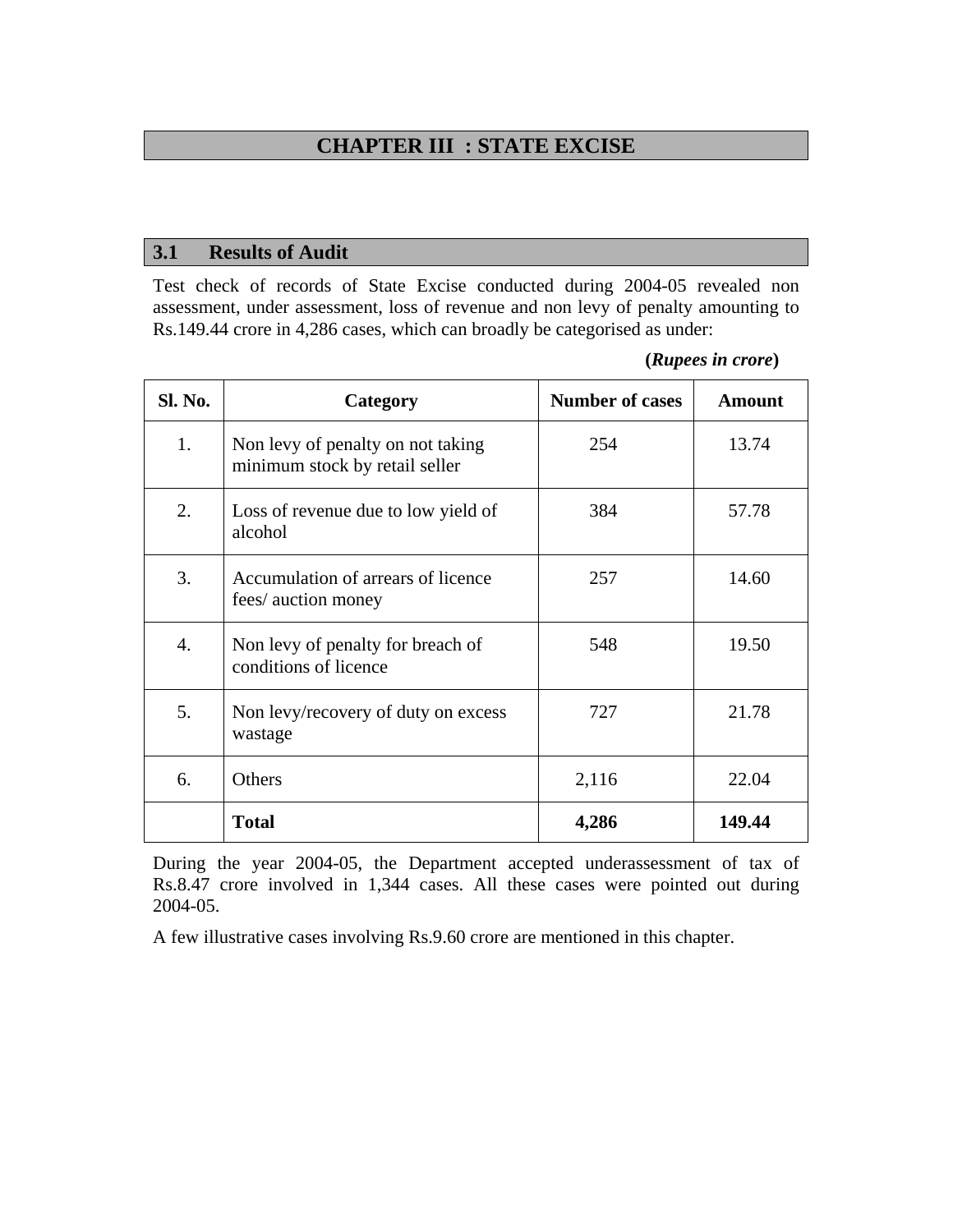# **CHAPTER III : STATE EXCISE**

#### **3.1 Results of Audit**

4. Non levy of penalty for breach of conditions of licence

5. Non levy/recovery of duty on excess

wastage

Test check of records of State Excise conducted during 2004-05 revealed non assessment, under assessment, loss of revenue and non levy of penalty amounting to Rs.149.44 crore in 4,286 cases, which can broadly be categorised as under:

|         |                                                                     | $\mu$                  |        |
|---------|---------------------------------------------------------------------|------------------------|--------|
| Sl. No. | Category                                                            | <b>Number of cases</b> | Amount |
| 1.      | Non levy of penalty on not taking<br>minimum stock by retail seller | 254                    | 13.74  |
| 2.      | Loss of revenue due to low yield of<br>alcohol                      | 384                    | 57.78  |
| 3.      | Accumulation of arrears of licence<br>fees/ auction money           | 257                    | 14.60  |

**(***Rupees in crore***)** 

548 19.50

727 21.78

During the year 2004-05, the Department accepted underassessment of tax of Rs.8.47 crore involved in 1,344 cases. All these cases were pointed out during 2004-05.

6. Others 22.04

**Total** 149.44

A few illustrative cases involving Rs.9.60 crore are mentioned in this chapter.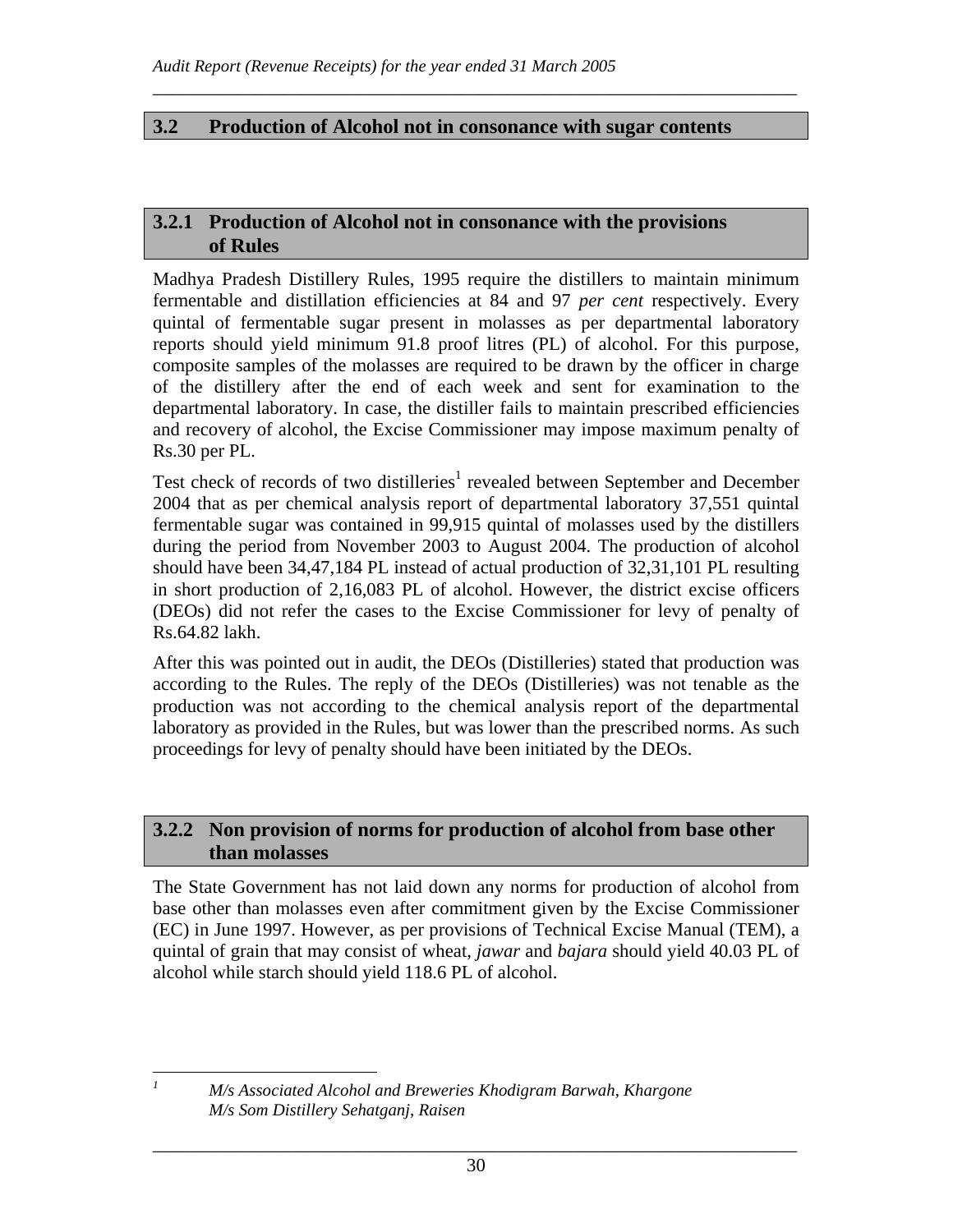#### **3.2 Production of Alcohol not in consonance with sugar contents**

\_\_\_\_\_\_\_\_\_\_\_\_\_\_\_\_\_\_\_\_\_\_\_\_\_\_\_\_\_\_\_\_\_\_\_\_\_\_\_\_\_\_\_\_\_\_\_\_\_\_\_\_\_\_\_\_\_\_\_\_\_\_\_\_\_\_\_\_\_

#### **3.2.1 Production of Alcohol not in consonance with the provisions of Rules**

Madhya Pradesh Distillery Rules, 1995 require the distillers to maintain minimum fermentable and distillation efficiencies at 84 and 97 *per cent* respectively. Every quintal of fermentable sugar present in molasses as per departmental laboratory reports should yield minimum 91.8 proof litres (PL) of alcohol. For this purpose, composite samples of the molasses are required to be drawn by the officer in charge of the distillery after the end of each week and sent for examination to the departmental laboratory. In case, the distiller fails to maintain prescribed efficiencies and recovery of alcohol, the Excise Commissioner may impose maximum penalty of Rs.30 per PL.

Test check of records of two distilleries<sup>1</sup> revealed between September and December 2004 that as per chemical analysis report of departmental laboratory 37,551 quintal fermentable sugar was contained in 99,915 quintal of molasses used by the distillers during the period from November 2003 to August 2004. The production of alcohol should have been 34,47,184 PL instead of actual production of 32,31,101 PL resulting in short production of 2,16,083 PL of alcohol. However, the district excise officers (DEOs) did not refer the cases to the Excise Commissioner for levy of penalty of Rs.64.82 lakh.

After this was pointed out in audit, the DEOs (Distilleries) stated that production was according to the Rules. The reply of the DEOs (Distilleries) was not tenable as the production was not according to the chemical analysis report of the departmental laboratory as provided in the Rules, but was lower than the prescribed norms. As such proceedings for levy of penalty should have been initiated by the DEOs.

#### **3.2.2 Non provision of norms for production of alcohol from base other than molasses**

The State Government has not laid down any norms for production of alcohol from base other than molasses even after commitment given by the Excise Commissioner (EC) in June 1997. However, as per provisions of Technical Excise Manual (TEM), a quintal of grain that may consist of wheat, *jawar* and *bajara* should yield 40.03 PL of alcohol while starch should yield 118.6 PL of alcohol.

 *M/s Associated Alcohol and Breweries Khodigram Barwah, Khargone M/s Som Distillery Sehatganj, Raisen* 

*1*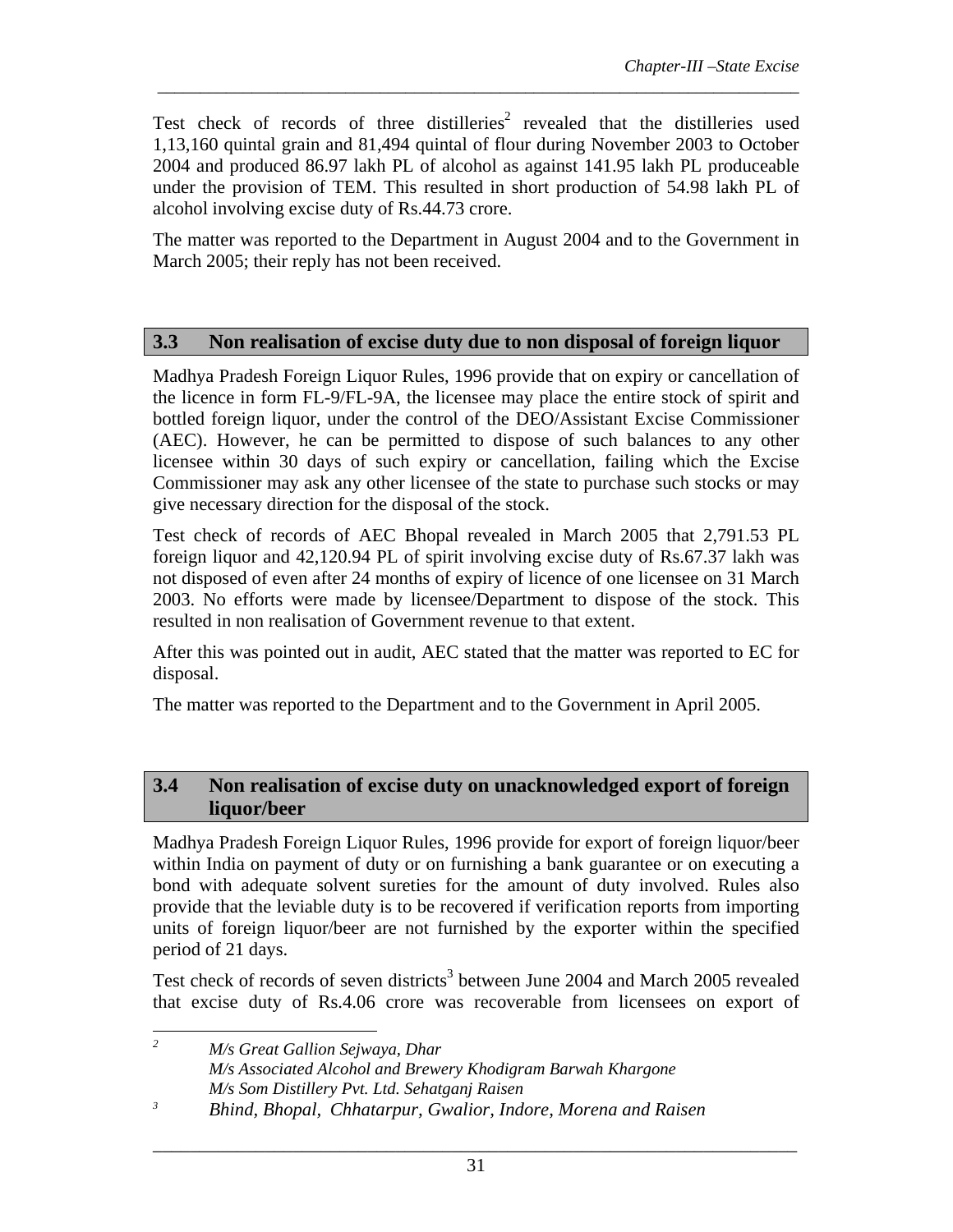Test check of records of three distilleries<sup>2</sup> revealed that the distilleries used 1,13,160 quintal grain and 81,494 quintal of flour during November 2003 to October 2004 and produced 86.97 lakh PL of alcohol as against 141.95 lakh PL produceable under the provision of TEM. This resulted in short production of 54.98 lakh PL of alcohol involving excise duty of Rs.44.73 crore.

*\_\_\_\_\_\_\_\_\_\_\_\_\_\_\_\_\_\_\_\_\_\_\_\_\_\_\_\_\_\_\_\_\_\_\_\_\_\_\_\_\_\_\_\_\_\_\_\_\_\_\_\_\_\_\_\_\_\_\_\_\_\_\_\_\_\_\_\_\_\_\_\_\_\_\_* 

The matter was reported to the Department in August 2004 and to the Government in March 2005; their reply has not been received.

### **3.3 Non realisation of excise duty due to non disposal of foreign liquor**

Madhya Pradesh Foreign Liquor Rules, 1996 provide that on expiry or cancellation of the licence in form FL-9/FL-9A, the licensee may place the entire stock of spirit and bottled foreign liquor, under the control of the DEO/Assistant Excise Commissioner (AEC). However, he can be permitted to dispose of such balances to any other licensee within 30 days of such expiry or cancellation, failing which the Excise Commissioner may ask any other licensee of the state to purchase such stocks or may give necessary direction for the disposal of the stock.

Test check of records of AEC Bhopal revealed in March 2005 that 2,791.53 PL foreign liquor and 42,120.94 PL of spirit involving excise duty of Rs.67.37 lakh was not disposed of even after 24 months of expiry of licence of one licensee on 31 March 2003. No efforts were made by licensee/Department to dispose of the stock. This resulted in non realisation of Government revenue to that extent.

After this was pointed out in audit, AEC stated that the matter was reported to EC for disposal.

The matter was reported to the Department and to the Government in April 2005.

### **3.4 Non realisation of excise duty on unacknowledged export of foreign liquor/beer**

Madhya Pradesh Foreign Liquor Rules, 1996 provide for export of foreign liquor/beer within India on payment of duty or on furnishing a bank guarantee or on executing a bond with adequate solvent sureties for the amount of duty involved. Rules also provide that the leviable duty is to be recovered if verification reports from importing units of foreign liquor/beer are not furnished by the exporter within the specified period of 21 days.

Test check of records of seven districts<sup>3</sup> between June 2004 and March 2005 revealed that excise duty of Rs.4.06 crore was recoverable from licensees on export of

 *2 M/s Great Gallion Sejwaya, Dhar M/s Associated Alcohol and Brewery Khodigram Barwah Khargone M/s Som Distillery Pvt. Ltd. Sehatganj Raisen*

*<sup>3</sup> Bhind, Bhopal, Chhatarpur, Gwalior, Indore, Morena and Raisen*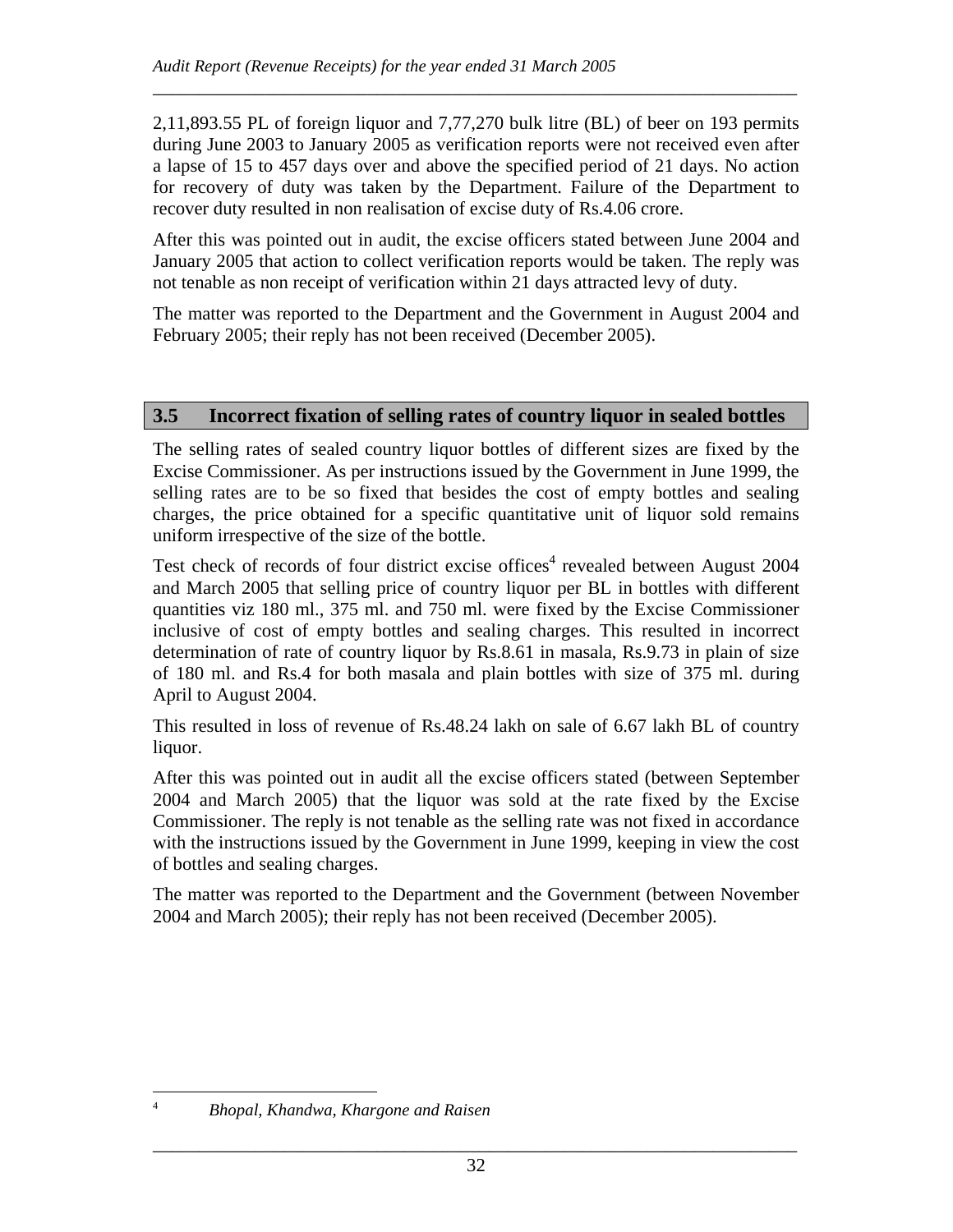2,11,893.55 PL of foreign liquor and 7,77,270 bulk litre (BL) of beer on 193 permits during June 2003 to January 2005 as verification reports were not received even after a lapse of 15 to 457 days over and above the specified period of 21 days. No action for recovery of duty was taken by the Department. Failure of the Department to recover duty resulted in non realisation of excise duty of Rs.4.06 crore.

\_\_\_\_\_\_\_\_\_\_\_\_\_\_\_\_\_\_\_\_\_\_\_\_\_\_\_\_\_\_\_\_\_\_\_\_\_\_\_\_\_\_\_\_\_\_\_\_\_\_\_\_\_\_\_\_\_\_\_\_\_\_\_\_\_\_\_\_\_

After this was pointed out in audit, the excise officers stated between June 2004 and January 2005 that action to collect verification reports would be taken. The reply was not tenable as non receipt of verification within 21 days attracted levy of duty.

The matter was reported to the Department and the Government in August 2004 and February 2005; their reply has not been received (December 2005).

### **3.5 Incorrect fixation of selling rates of country liquor in sealed bottles**

The selling rates of sealed country liquor bottles of different sizes are fixed by the Excise Commissioner. As per instructions issued by the Government in June 1999, the selling rates are to be so fixed that besides the cost of empty bottles and sealing charges, the price obtained for a specific quantitative unit of liquor sold remains uniform irrespective of the size of the bottle.

Test check of records of four district excise offices<sup>4</sup> revealed between August 2004 and March 2005 that selling price of country liquor per BL in bottles with different quantities viz 180 ml., 375 ml. and 750 ml. were fixed by the Excise Commissioner inclusive of cost of empty bottles and sealing charges. This resulted in incorrect determination of rate of country liquor by Rs.8.61 in masala, Rs.9.73 in plain of size of 180 ml. and Rs.4 for both masala and plain bottles with size of 375 ml. during April to August 2004.

This resulted in loss of revenue of Rs.48.24 lakh on sale of 6.67 lakh BL of country liquor.

After this was pointed out in audit all the excise officers stated (between September 2004 and March 2005) that the liquor was sold at the rate fixed by the Excise Commissioner. The reply is not tenable as the selling rate was not fixed in accordance with the instructions issued by the Government in June 1999, keeping in view the cost of bottles and sealing charges.

The matter was reported to the Department and the Government (between November 2004 and March 2005); their reply has not been received (December 2005).

 $\overline{a}$ 

<sup>4</sup> *Bhopal, Khandwa, Khargone and Raisen*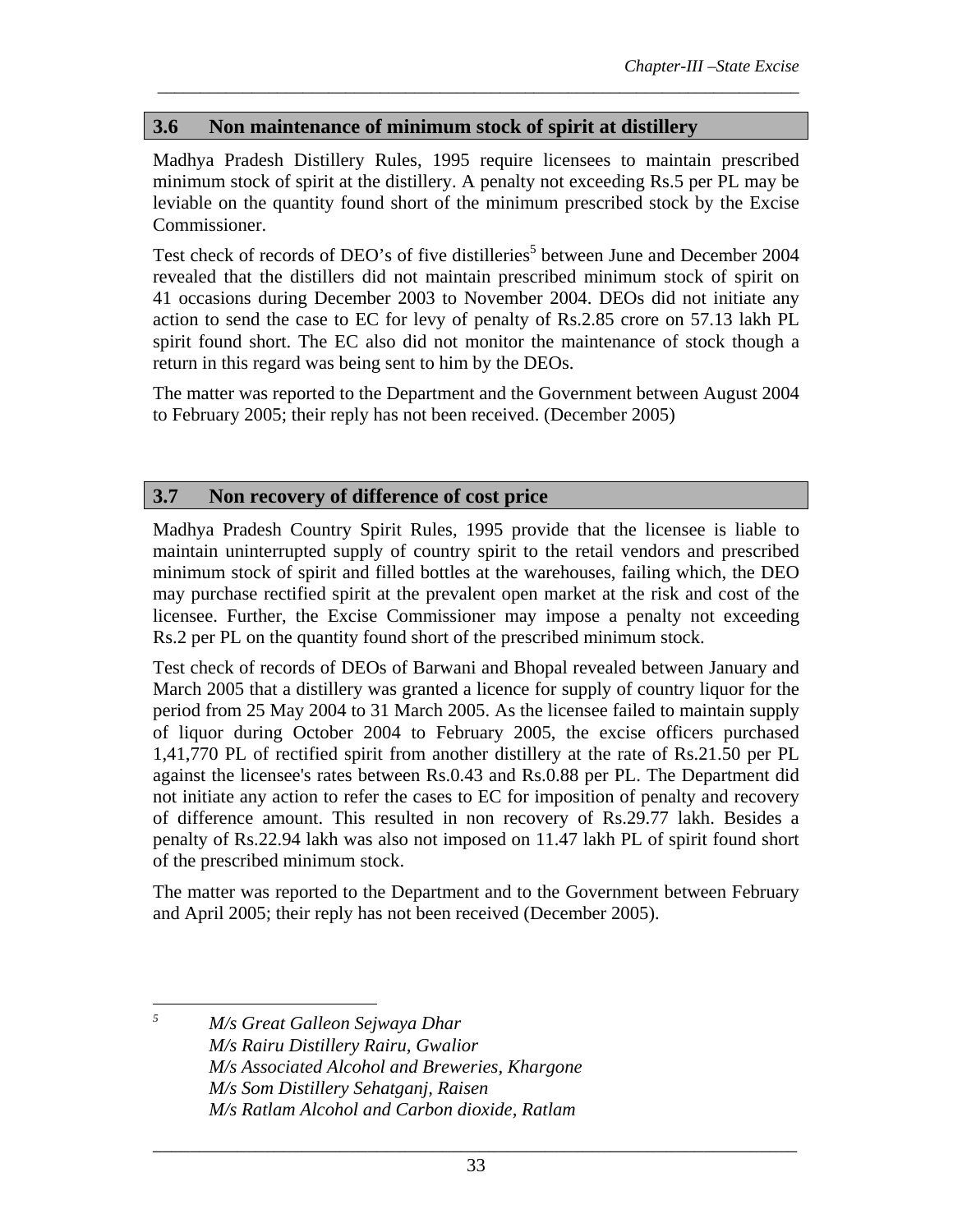## **3.6 Non maintenance of minimum stock of spirit at distillery**

Madhya Pradesh Distillery Rules, 1995 require licensees to maintain prescribed minimum stock of spirit at the distillery. A penalty not exceeding Rs.5 per PL may be leviable on the quantity found short of the minimum prescribed stock by the Excise Commissioner.

*\_\_\_\_\_\_\_\_\_\_\_\_\_\_\_\_\_\_\_\_\_\_\_\_\_\_\_\_\_\_\_\_\_\_\_\_\_\_\_\_\_\_\_\_\_\_\_\_\_\_\_\_\_\_\_\_\_\_\_\_\_\_\_\_\_\_\_\_\_\_\_\_\_\_\_* 

Test check of records of DEO's of five distilleries<sup>5</sup> between June and December 2004 revealed that the distillers did not maintain prescribed minimum stock of spirit on 41 occasions during December 2003 to November 2004. DEOs did not initiate any action to send the case to EC for levy of penalty of Rs.2.85 crore on 57.13 lakh PL spirit found short. The EC also did not monitor the maintenance of stock though a return in this regard was being sent to him by the DEOs.

The matter was reported to the Department and the Government between August 2004 to February 2005; their reply has not been received. (December 2005)

### **3.7 Non recovery of difference of cost price**

Madhya Pradesh Country Spirit Rules, 1995 provide that the licensee is liable to maintain uninterrupted supply of country spirit to the retail vendors and prescribed minimum stock of spirit and filled bottles at the warehouses, failing which, the DEO may purchase rectified spirit at the prevalent open market at the risk and cost of the licensee. Further, the Excise Commissioner may impose a penalty not exceeding Rs.2 per PL on the quantity found short of the prescribed minimum stock.

Test check of records of DEOs of Barwani and Bhopal revealed between January and March 2005 that a distillery was granted a licence for supply of country liquor for the period from 25 May 2004 to 31 March 2005. As the licensee failed to maintain supply of liquor during October 2004 to February 2005, the excise officers purchased 1,41,770 PL of rectified spirit from another distillery at the rate of Rs.21.50 per PL against the licensee's rates between Rs.0.43 and Rs.0.88 per PL. The Department did not initiate any action to refer the cases to EC for imposition of penalty and recovery of difference amount. This resulted in non recovery of Rs.29.77 lakh. Besides a penalty of Rs.22.94 lakh was also not imposed on 11.47 lakh PL of spirit found short of the prescribed minimum stock.

The matter was reported to the Department and to the Government between February and April 2005; their reply has not been received (December 2005).

 $\overline{a}$ 

*<sup>5</sup> M/s Great Galleon Sejwaya Dhar M/s Rairu Distillery Rairu, Gwalior M/s Associated Alcohol and Breweries, Khargone M/s Som Distillery Sehatganj, Raisen M/s Ratlam Alcohol and Carbon dioxide, Ratlam*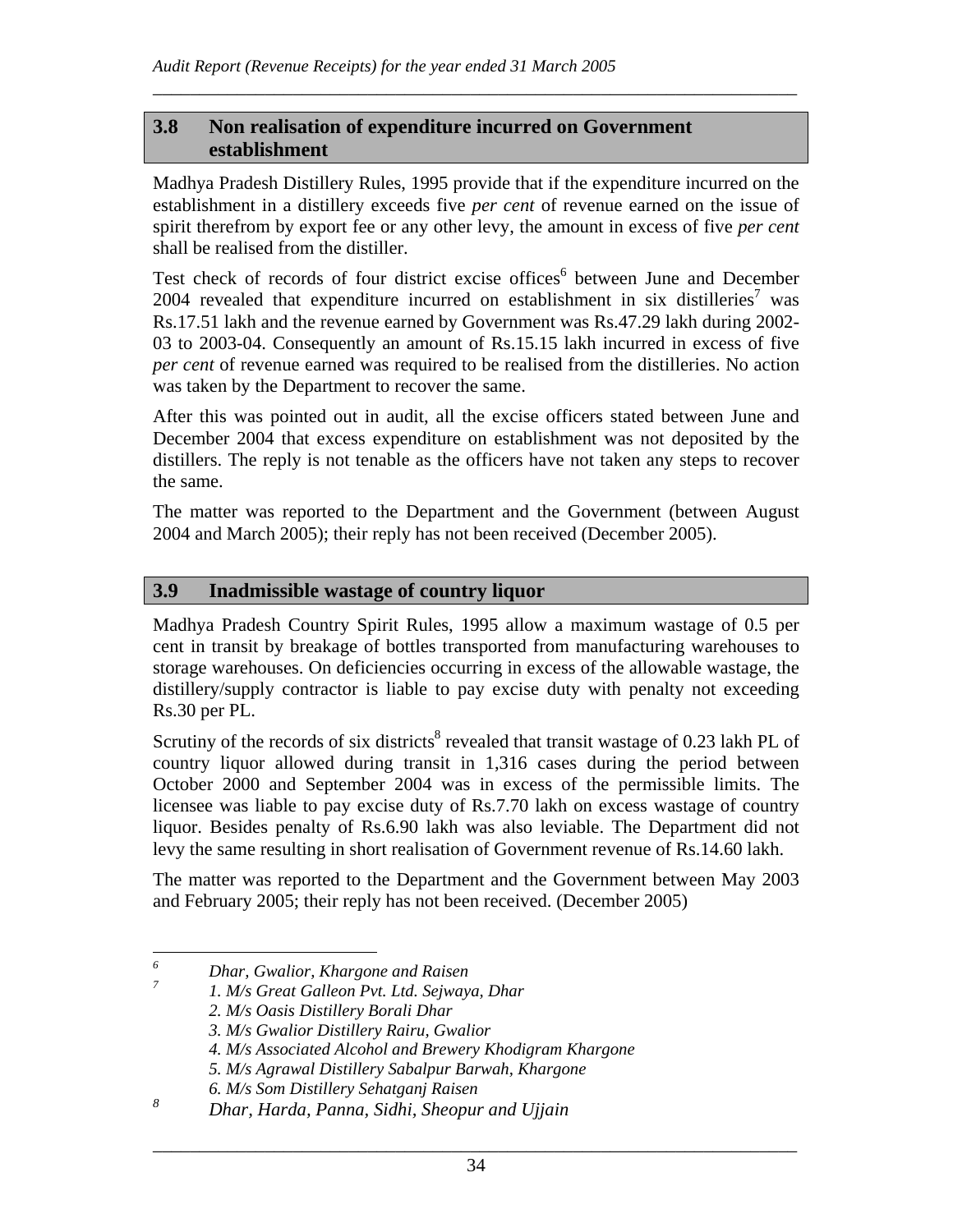#### **3.8 Non realisation of expenditure incurred on Government establishment**

Madhya Pradesh Distillery Rules, 1995 provide that if the expenditure incurred on the establishment in a distillery exceeds five *per cent* of revenue earned on the issue of spirit therefrom by export fee or any other levy, the amount in excess of five *per cent* shall be realised from the distiller.

\_\_\_\_\_\_\_\_\_\_\_\_\_\_\_\_\_\_\_\_\_\_\_\_\_\_\_\_\_\_\_\_\_\_\_\_\_\_\_\_\_\_\_\_\_\_\_\_\_\_\_\_\_\_\_\_\_\_\_\_\_\_\_\_\_\_\_\_\_

Test check of records of four district excise offices<sup>6</sup> between June and December 2004 revealed that expenditure incurred on establishment in six distilleries<sup>7</sup> was Rs.17.51 lakh and the revenue earned by Government was Rs.47.29 lakh during 2002- 03 to 2003-04. Consequently an amount of Rs.15.15 lakh incurred in excess of five *per cent* of revenue earned was required to be realised from the distilleries. No action was taken by the Department to recover the same.

After this was pointed out in audit, all the excise officers stated between June and December 2004 that excess expenditure on establishment was not deposited by the distillers. The reply is not tenable as the officers have not taken any steps to recover the same.

The matter was reported to the Department and the Government (between August 2004 and March 2005); their reply has not been received (December 2005).

#### **3.9 Inadmissible wastage of country liquor**

Madhya Pradesh Country Spirit Rules, 1995 allow a maximum wastage of 0.5 per cent in transit by breakage of bottles transported from manufacturing warehouses to storage warehouses. On deficiencies occurring in excess of the allowable wastage, the distillery/supply contractor is liable to pay excise duty with penalty not exceeding Rs.30 per PL.

Scrutiny of the records of six districts<sup>8</sup> revealed that transit wastage of 0.23 lakh PL of country liquor allowed during transit in 1,316 cases during the period between October 2000 and September 2004 was in excess of the permissible limits. The licensee was liable to pay excise duty of Rs.7.70 lakh on excess wastage of country liquor. Besides penalty of Rs.6.90 lakh was also leviable. The Department did not levy the same resulting in short realisation of Government revenue of Rs.14.60 lakh.

The matter was reported to the Department and the Government between May 2003 and February 2005; their reply has not been received. (December 2005)

 *6 Dhar, Gwalior, Khargone and Raisen 7*

 *<sup>1.</sup> M/s Great Galleon Pvt. Ltd. Sejwaya, Dhar* 

*<sup>2.</sup> M/s Oasis Distillery Borali Dhar* 

*<sup>3.</sup> M/s Gwalior Distillery Rairu, Gwalior* 

*<sup>4.</sup> M/s Associated Alcohol and Brewery Khodigram Khargone* 

*<sup>5.</sup> M/s Agrawal Distillery Sabalpur Barwah, Khargone* 

*<sup>6.</sup> M/s Som Distillery Sehatganj Raisen* 

*<sup>8</sup> Dhar, Harda, Panna, Sidhi, Sheopur and Ujjain*